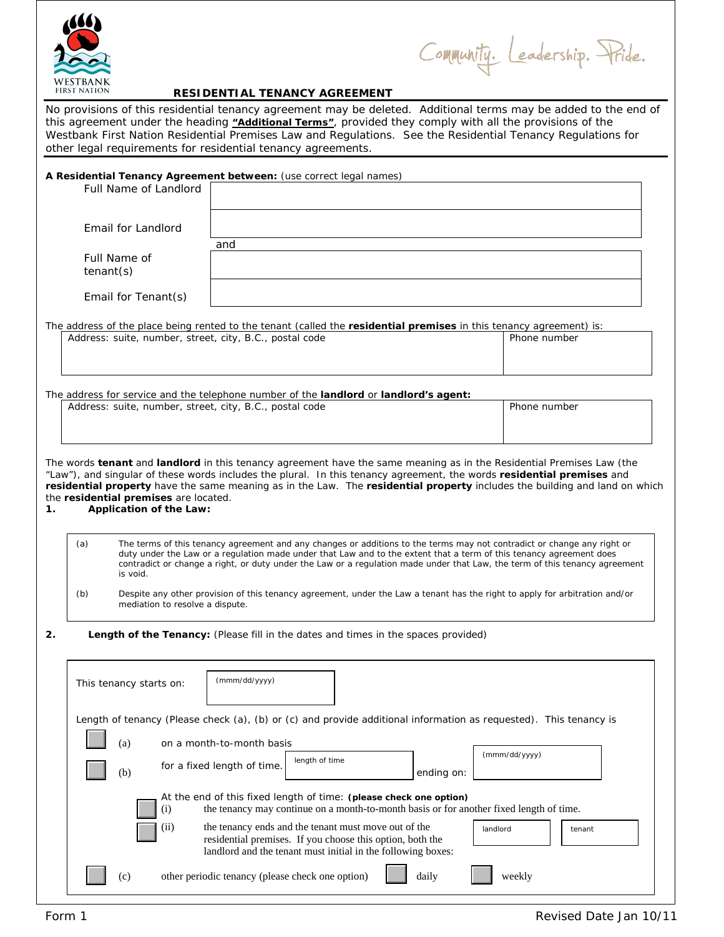

Community. Leadership. Pride.

# **RESIDENTIAL TENANCY AGREEMENT**

No provisions of this residential tenancy agreement may be deleted. Additional terms may be added to the end of this agreement under the heading **"Additional Terms"**, provided they comply with all the provisions of the Westbank First Nation Residential Premises Law and Regulations. See the Residential Tenancy Regulations for other legal requirements for residential tenancy agreements.

|                                                                               | A Residential Tenancy Agreement between: (use correct legal names)                                                                                                                                                                                                                                                                                                            |                    |
|-------------------------------------------------------------------------------|-------------------------------------------------------------------------------------------------------------------------------------------------------------------------------------------------------------------------------------------------------------------------------------------------------------------------------------------------------------------------------|--------------------|
| Full Name of Landlord                                                         |                                                                                                                                                                                                                                                                                                                                                                               |                    |
| Email for Landlord                                                            |                                                                                                                                                                                                                                                                                                                                                                               |                    |
|                                                                               | and                                                                                                                                                                                                                                                                                                                                                                           |                    |
| Full Name of<br>$t$ enant $(s)$                                               |                                                                                                                                                                                                                                                                                                                                                                               |                    |
| Email for Tenant(s)                                                           |                                                                                                                                                                                                                                                                                                                                                                               |                    |
|                                                                               | The address of the place being rented to the tenant (called the residential premises in this tenancy agreement) is:                                                                                                                                                                                                                                                           |                    |
| Address: suite, number, street, city, B.C., postal code                       |                                                                                                                                                                                                                                                                                                                                                                               | Phone number       |
|                                                                               |                                                                                                                                                                                                                                                                                                                                                                               |                    |
| Address: suite, number, street, city, B.C., postal code                       | The address for service and the telephone number of the landlord or landlord's agent:                                                                                                                                                                                                                                                                                         | Phone number       |
|                                                                               |                                                                                                                                                                                                                                                                                                                                                                               |                    |
|                                                                               |                                                                                                                                                                                                                                                                                                                                                                               |                    |
| the residential premises are located.<br><b>Application of the Law:</b><br>1. | The words tenant and landlord in this tenancy agreement have the same meaning as in the Residential Premises Law (the<br>"Law"), and singular of these words includes the plural. In this tenancy agreement, the words residential premises and<br>residential property have the same meaning as in the Law. The residential property includes the building and land on which |                    |
| (a)<br>is void.                                                               | The terms of this tenancy agreement and any changes or additions to the terms may not contradict or change any right or<br>duty under the Law or a regulation made under that Law and to the extent that a term of this tenancy agreement does<br>contradict or change a right, or duty under the Law or a regulation made under that Law, the term of this tenancy agreement |                    |
| (b)<br>mediation to resolve a dispute.                                        | Despite any other provision of this tenancy agreement, under the Law a tenant has the right to apply for arbitration and/or                                                                                                                                                                                                                                                   |                    |
| 2.                                                                            | Length of the Tenancy: (Please fill in the dates and times in the spaces provided)                                                                                                                                                                                                                                                                                            |                    |
| This tenancy starts on:                                                       | (mmm/dd/yyyy)                                                                                                                                                                                                                                                                                                                                                                 |                    |
|                                                                               | Length of tenancy (Please check (a), (b) or (c) and provide additional information as requested). This tenancy is                                                                                                                                                                                                                                                             |                    |
| (a)                                                                           | on a month-to-month basis                                                                                                                                                                                                                                                                                                                                                     |                    |
| (b)                                                                           | length of time<br>for a fixed length of time.<br>ending on:                                                                                                                                                                                                                                                                                                                   | (mmm/dd/yyyy)      |
| (i)                                                                           | At the end of this fixed length of time: (please check one option)<br>the tenancy may continue on a month-to-month basis or for another fixed length of time.                                                                                                                                                                                                                 |                    |
| (ii)                                                                          | the tenancy ends and the tenant must move out of the<br>residential premises. If you choose this option, both the<br>landlord and the tenant must initial in the following boxes:                                                                                                                                                                                             | landlord<br>tenant |
| (c)                                                                           | other periodic tenancy (please check one option)<br>daily                                                                                                                                                                                                                                                                                                                     | weekly             |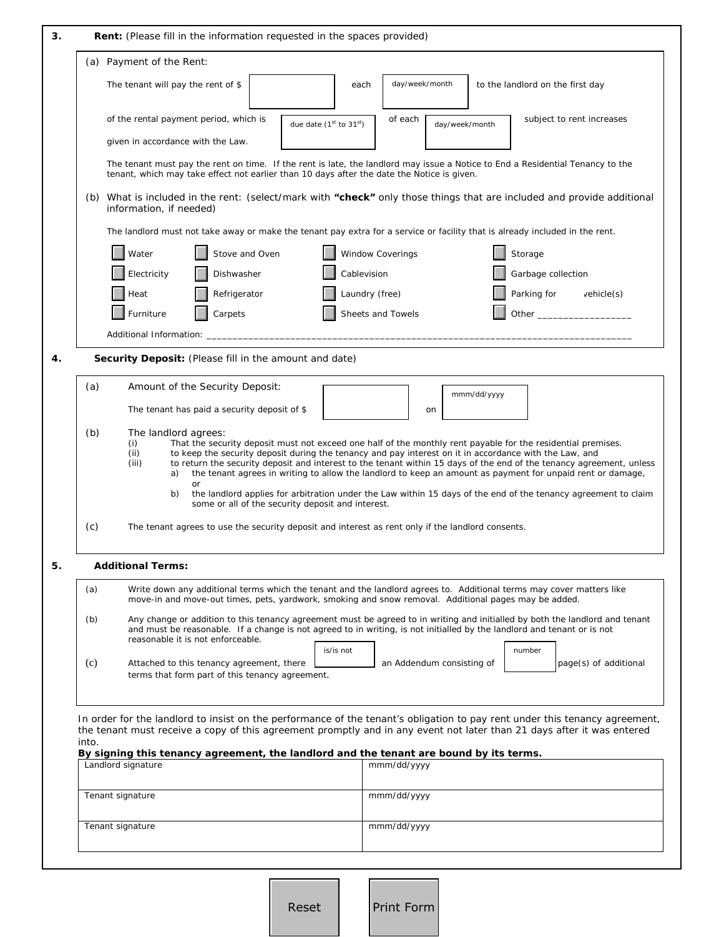| The tenant will pay the rent of \$<br>of the rental payment period, which is<br>given in accordance with the Law.<br>The tenant must pay the rent on time. If the rent is late, the landlord may issue a Notice to End a Residential Tenancy to the<br>tenant, which may take effect not earlier than 10 days after the date the Notice is given.<br>(b) What is included in the rent: (select/mark with "check" only those things that are included and provide additional<br>information, if needed)<br>The landlord must not take away or make the tenant pay extra for a service or facility that is already included in the rent.<br>Stove and Oven<br>Dishwasher<br>Refrigerator<br>Carpets<br>Security Deposit: (Please fill in the amount and date)<br>Amount of the Security Deposit:<br>The tenant has paid a security deposit of \$<br>The landlord agrees:<br>That the security deposit must not exceed one half of the monthly rent payable for the residential premises.<br>to keep the security deposit during the tenancy and pay interest on it in accordance with the Law, and<br>to return the security deposit and interest to the tenant within 15 days of the end of the tenancy agreement, unless | due date (1st to 31st) | day/week/month<br>each<br>of each<br>Window Coverings<br>Cablevision<br>Laundry (free)<br>Sheets and Towels | day/week/month<br>mmm/dd/yyyy | to the landlord on the first day<br>Storage<br>Garbage collection<br>Parking for | subject to rent increases<br>$v$ ehicle $(s)$                                                                                                                                                                                                                                                                                                                                                                                                                                                                                                                                                                                                                                                                                                                                                                                                                                                                                                                                |
|--------------------------------------------------------------------------------------------------------------------------------------------------------------------------------------------------------------------------------------------------------------------------------------------------------------------------------------------------------------------------------------------------------------------------------------------------------------------------------------------------------------------------------------------------------------------------------------------------------------------------------------------------------------------------------------------------------------------------------------------------------------------------------------------------------------------------------------------------------------------------------------------------------------------------------------------------------------------------------------------------------------------------------------------------------------------------------------------------------------------------------------------------------------------------------------------------------------------------|------------------------|-------------------------------------------------------------------------------------------------------------|-------------------------------|----------------------------------------------------------------------------------|------------------------------------------------------------------------------------------------------------------------------------------------------------------------------------------------------------------------------------------------------------------------------------------------------------------------------------------------------------------------------------------------------------------------------------------------------------------------------------------------------------------------------------------------------------------------------------------------------------------------------------------------------------------------------------------------------------------------------------------------------------------------------------------------------------------------------------------------------------------------------------------------------------------------------------------------------------------------------|
|                                                                                                                                                                                                                                                                                                                                                                                                                                                                                                                                                                                                                                                                                                                                                                                                                                                                                                                                                                                                                                                                                                                                                                                                                          |                        |                                                                                                             |                               |                                                                                  |                                                                                                                                                                                                                                                                                                                                                                                                                                                                                                                                                                                                                                                                                                                                                                                                                                                                                                                                                                              |
|                                                                                                                                                                                                                                                                                                                                                                                                                                                                                                                                                                                                                                                                                                                                                                                                                                                                                                                                                                                                                                                                                                                                                                                                                          |                        |                                                                                                             |                               |                                                                                  |                                                                                                                                                                                                                                                                                                                                                                                                                                                                                                                                                                                                                                                                                                                                                                                                                                                                                                                                                                              |
|                                                                                                                                                                                                                                                                                                                                                                                                                                                                                                                                                                                                                                                                                                                                                                                                                                                                                                                                                                                                                                                                                                                                                                                                                          |                        |                                                                                                             |                               |                                                                                  |                                                                                                                                                                                                                                                                                                                                                                                                                                                                                                                                                                                                                                                                                                                                                                                                                                                                                                                                                                              |
|                                                                                                                                                                                                                                                                                                                                                                                                                                                                                                                                                                                                                                                                                                                                                                                                                                                                                                                                                                                                                                                                                                                                                                                                                          |                        |                                                                                                             |                               |                                                                                  |                                                                                                                                                                                                                                                                                                                                                                                                                                                                                                                                                                                                                                                                                                                                                                                                                                                                                                                                                                              |
|                                                                                                                                                                                                                                                                                                                                                                                                                                                                                                                                                                                                                                                                                                                                                                                                                                                                                                                                                                                                                                                                                                                                                                                                                          |                        |                                                                                                             |                               |                                                                                  |                                                                                                                                                                                                                                                                                                                                                                                                                                                                                                                                                                                                                                                                                                                                                                                                                                                                                                                                                                              |
|                                                                                                                                                                                                                                                                                                                                                                                                                                                                                                                                                                                                                                                                                                                                                                                                                                                                                                                                                                                                                                                                                                                                                                                                                          |                        |                                                                                                             |                               |                                                                                  |                                                                                                                                                                                                                                                                                                                                                                                                                                                                                                                                                                                                                                                                                                                                                                                                                                                                                                                                                                              |
|                                                                                                                                                                                                                                                                                                                                                                                                                                                                                                                                                                                                                                                                                                                                                                                                                                                                                                                                                                                                                                                                                                                                                                                                                          |                        |                                                                                                             |                               |                                                                                  |                                                                                                                                                                                                                                                                                                                                                                                                                                                                                                                                                                                                                                                                                                                                                                                                                                                                                                                                                                              |
|                                                                                                                                                                                                                                                                                                                                                                                                                                                                                                                                                                                                                                                                                                                                                                                                                                                                                                                                                                                                                                                                                                                                                                                                                          |                        |                                                                                                             |                               |                                                                                  |                                                                                                                                                                                                                                                                                                                                                                                                                                                                                                                                                                                                                                                                                                                                                                                                                                                                                                                                                                              |
|                                                                                                                                                                                                                                                                                                                                                                                                                                                                                                                                                                                                                                                                                                                                                                                                                                                                                                                                                                                                                                                                                                                                                                                                                          |                        |                                                                                                             |                               |                                                                                  |                                                                                                                                                                                                                                                                                                                                                                                                                                                                                                                                                                                                                                                                                                                                                                                                                                                                                                                                                                              |
|                                                                                                                                                                                                                                                                                                                                                                                                                                                                                                                                                                                                                                                                                                                                                                                                                                                                                                                                                                                                                                                                                                                                                                                                                          |                        |                                                                                                             |                               |                                                                                  |                                                                                                                                                                                                                                                                                                                                                                                                                                                                                                                                                                                                                                                                                                                                                                                                                                                                                                                                                                              |
|                                                                                                                                                                                                                                                                                                                                                                                                                                                                                                                                                                                                                                                                                                                                                                                                                                                                                                                                                                                                                                                                                                                                                                                                                          |                        |                                                                                                             |                               |                                                                                  |                                                                                                                                                                                                                                                                                                                                                                                                                                                                                                                                                                                                                                                                                                                                                                                                                                                                                                                                                                              |
|                                                                                                                                                                                                                                                                                                                                                                                                                                                                                                                                                                                                                                                                                                                                                                                                                                                                                                                                                                                                                                                                                                                                                                                                                          |                        |                                                                                                             |                               |                                                                                  |                                                                                                                                                                                                                                                                                                                                                                                                                                                                                                                                                                                                                                                                                                                                                                                                                                                                                                                                                                              |
|                                                                                                                                                                                                                                                                                                                                                                                                                                                                                                                                                                                                                                                                                                                                                                                                                                                                                                                                                                                                                                                                                                                                                                                                                          |                        |                                                                                                             |                               |                                                                                  |                                                                                                                                                                                                                                                                                                                                                                                                                                                                                                                                                                                                                                                                                                                                                                                                                                                                                                                                                                              |
|                                                                                                                                                                                                                                                                                                                                                                                                                                                                                                                                                                                                                                                                                                                                                                                                                                                                                                                                                                                                                                                                                                                                                                                                                          |                        |                                                                                                             | on                            |                                                                                  |                                                                                                                                                                                                                                                                                                                                                                                                                                                                                                                                                                                                                                                                                                                                                                                                                                                                                                                                                                              |
|                                                                                                                                                                                                                                                                                                                                                                                                                                                                                                                                                                                                                                                                                                                                                                                                                                                                                                                                                                                                                                                                                                                                                                                                                          |                        |                                                                                                             |                               |                                                                                  |                                                                                                                                                                                                                                                                                                                                                                                                                                                                                                                                                                                                                                                                                                                                                                                                                                                                                                                                                                              |
| the tenant agrees in writing to allow the landlord to keep an amount as payment for unpaid rent or damage,<br>a)<br>or                                                                                                                                                                                                                                                                                                                                                                                                                                                                                                                                                                                                                                                                                                                                                                                                                                                                                                                                                                                                                                                                                                   |                        |                                                                                                             |                               |                                                                                  |                                                                                                                                                                                                                                                                                                                                                                                                                                                                                                                                                                                                                                                                                                                                                                                                                                                                                                                                                                              |
| the landlord applies for arbitration under the Law within 15 days of the end of the tenancy agreement to claim<br>b)<br>some or all of the security deposit and interest.                                                                                                                                                                                                                                                                                                                                                                                                                                                                                                                                                                                                                                                                                                                                                                                                                                                                                                                                                                                                                                                |                        |                                                                                                             |                               |                                                                                  |                                                                                                                                                                                                                                                                                                                                                                                                                                                                                                                                                                                                                                                                                                                                                                                                                                                                                                                                                                              |
|                                                                                                                                                                                                                                                                                                                                                                                                                                                                                                                                                                                                                                                                                                                                                                                                                                                                                                                                                                                                                                                                                                                                                                                                                          |                        |                                                                                                             |                               |                                                                                  |                                                                                                                                                                                                                                                                                                                                                                                                                                                                                                                                                                                                                                                                                                                                                                                                                                                                                                                                                                              |
| <b>Additional Terms:</b>                                                                                                                                                                                                                                                                                                                                                                                                                                                                                                                                                                                                                                                                                                                                                                                                                                                                                                                                                                                                                                                                                                                                                                                                 |                        |                                                                                                             |                               |                                                                                  |                                                                                                                                                                                                                                                                                                                                                                                                                                                                                                                                                                                                                                                                                                                                                                                                                                                                                                                                                                              |
|                                                                                                                                                                                                                                                                                                                                                                                                                                                                                                                                                                                                                                                                                                                                                                                                                                                                                                                                                                                                                                                                                                                                                                                                                          |                        |                                                                                                             |                               |                                                                                  |                                                                                                                                                                                                                                                                                                                                                                                                                                                                                                                                                                                                                                                                                                                                                                                                                                                                                                                                                                              |
| reasonable it is not enforceable.                                                                                                                                                                                                                                                                                                                                                                                                                                                                                                                                                                                                                                                                                                                                                                                                                                                                                                                                                                                                                                                                                                                                                                                        |                        |                                                                                                             |                               |                                                                                  |                                                                                                                                                                                                                                                                                                                                                                                                                                                                                                                                                                                                                                                                                                                                                                                                                                                                                                                                                                              |
|                                                                                                                                                                                                                                                                                                                                                                                                                                                                                                                                                                                                                                                                                                                                                                                                                                                                                                                                                                                                                                                                                                                                                                                                                          |                        |                                                                                                             |                               | number                                                                           | page(s) of additional                                                                                                                                                                                                                                                                                                                                                                                                                                                                                                                                                                                                                                                                                                                                                                                                                                                                                                                                                        |
|                                                                                                                                                                                                                                                                                                                                                                                                                                                                                                                                                                                                                                                                                                                                                                                                                                                                                                                                                                                                                                                                                                                                                                                                                          |                        | Attached to this tenancy agreement, there<br>terms that form part of this tenancy agreement.                | is/is not<br>mmm/dd/yyyy      |                                                                                  | The tenant agrees to use the security deposit and interest as rent only if the landlord consents.<br>Write down any additional terms which the tenant and the landlord agrees to. Additional terms may cover matters like<br>move-in and move-out times, pets, yardwork, smoking and snow removal. Additional pages may be added.<br>Any change or addition to this tenancy agreement must be agreed to in writing and initialled by both the landlord and tenant<br>and must be reasonable. If a change is not agreed to in writing, is not initialled by the landlord and tenant or is not<br>an Addendum consisting of<br>In order for the landlord to insist on the performance of the tenant's obligation to pay rent under this tenancy agreement,<br>the tenant must receive a copy of this agreement promptly and in any event not later than 21 days after it was entered<br>By signing this tenancy agreement, the landlord and the tenant are bound by its terms. |

| <b>Print Form</b> |
|-------------------|
|                   |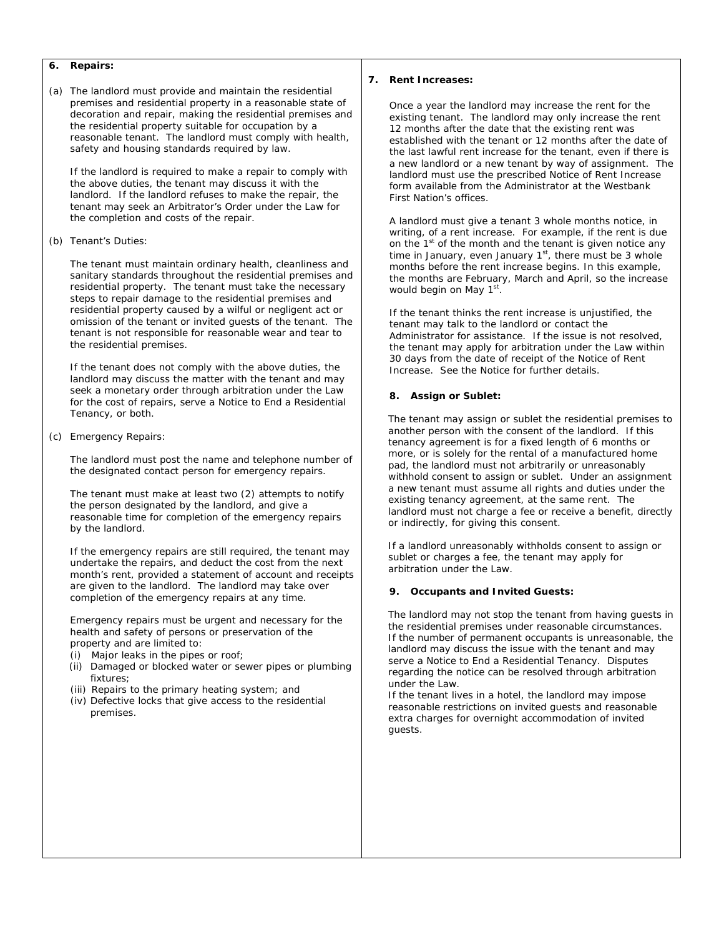## **6. Repairs:**

(a) The landlord must provide and maintain the residential premises and residential property in a reasonable state of decoration and repair, making the residential premises and the residential property suitable for occupation by a reasonable tenant. The landlord must comply with health, safety and housing standards required by law.

If the landlord is required to make a repair to comply with the above duties, the tenant may discuss it with the landlord. If the landlord refuses to make the repair, the tenant may seek an Arbitrator's Order under the Law for the completion and costs of the repair.

(b) Tenant's Duties:

The tenant must maintain ordinary health, cleanliness and sanitary standards throughout the residential premises and residential property. The tenant must take the necessary steps to repair damage to the residential premises and residential property caused by a wilful or negligent act or omission of the tenant or invited guests of the tenant. The tenant is not responsible for reasonable wear and tear to the residential premises.

If the tenant does not comply with the above duties, the landlord may discuss the matter with the tenant and may seek a monetary order through arbitration under the Law for the cost of repairs, serve a Notice to End a Residential Tenancy, or both.

(c) Emergency Repairs:

The landlord must post the name and telephone number of the designated contact person for emergency repairs.

The tenant must make at least two (2) attempts to notify the person designated by the landlord, and give a reasonable time for completion of the emergency repairs by the landlord.

If the emergency repairs are still required, the tenant may undertake the repairs, and deduct the cost from the next month's rent, provided a statement of account and receipts are given to the landlord. The landlord may take over completion of the emergency repairs at any time.

Emergency repairs must be urgent and necessary for the health and safety of persons or preservation of the property and are limited to:

- (i) Major leaks in the pipes or roof;
- (ii) Damaged or blocked water or sewer pipes or plumbing fixtures;
- (iii) Repairs to the primary heating system; and
- (iv) Defective locks that give access to the residential premises.

## **7. Rent Increases:**

Once a year the landlord may increase the rent for the existing tenant. The landlord may only increase the rent 12 months after the date that the existing rent was established with the tenant or 12 months after the date of the last lawful rent increase for the tenant, even if there is a new landlord or a new tenant by way of assignment. The landlord must use the prescribed Notice of Rent Increase form available from the Administrator at the Westbank First Nation's offices.

A landlord must give a tenant 3 whole months notice, in writing, of a rent increase. For example, if the rent is due on the  $1<sup>st</sup>$  of the month and the tenant is given notice any time in January, even January  $1^{st}$ , there must be 3 whole months before the rent increase begins. In this example, the months are February, March and April, so the increase would begin on May 1<sup>st</sup>.

If the tenant thinks the rent increase is unjustified, the tenant may talk to the landlord or contact the Administrator for assistance. If the issue is not resolved, the tenant may apply for arbitration under the Law within 30 days from the date of receipt of the Notice of Rent Increase. See the Notice for further details.

#### **8. Assign or Sublet:**

The tenant may assign or sublet the residential premises to another person with the consent of the landlord. If this tenancy agreement is for a fixed length of 6 months or more, or is solely for the rental of a manufactured home pad, the landlord must not arbitrarily or unreasonably withhold consent to assign or sublet. Under an assignment a new tenant must assume all rights and duties under the existing tenancy agreement, at the same rent. The landlord must not charge a fee or receive a benefit, directly or indirectly, for giving this consent.

If a landlord unreasonably withholds consent to assign or sublet or charges a fee, the tenant may apply for arbitration under the Law.

#### **9. Occupants and Invited Guests:**

The landlord may not stop the tenant from having guests in the residential premises under reasonable circumstances. If the number of permanent occupants is unreasonable, the landlord may discuss the issue with the tenant and may serve a Notice to End a Residential Tenancy. Disputes regarding the notice can be resolved through arbitration under the Law.

If the tenant lives in a hotel, the landlord may impose reasonable restrictions on invited guests and reasonable extra charges for overnight accommodation of invited guests.